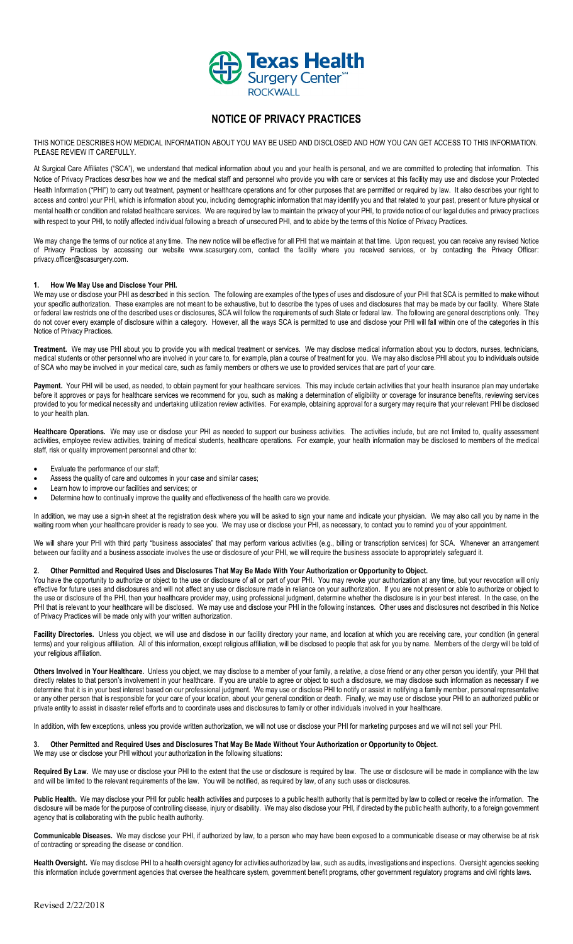

# **NOTICE OF PRIVACY PRACTICES**

THIS NOTICE DESCRIBES HOW MEDICAL INFORMATION ABOUT YOU MAY BE USED AND DISCLOSED AND HOW YOU CAN GET ACCESS TO THIS INFORMATION. PLEASE REVIEW IT CAREFULLY.

At Surgical Care Affiliates ("SCA"), we understand that medical information about you and your health is personal, and we are committed to protecting that information. This Notice of Privacy Practices describes how we and the medical staff and personnel who provide you with care or services at this facility may use and disclose your Protected Health Information ("PHI") to carry out treatment, payment or healthcare operations and for other purposes that are permitted or required by law. It also describes your right to access and control your PHI, which is information about you, including demographic information that may identify you and that related to your past, present or future physical or mental health or condition and related healthcare services. We are required by law to maintain the privacy of your PHI, to provide notice of our legal duties and privacy practices with respect to your PHI, to notify affected individual following a breach of unsecured PHI, and to abide by the terms of this Notice of Privacy Practices.

We may change the terms of our notice at any time. The new notice will be effective for all PHI that we maintain at that time. Upon request, you can receive any revised Notice of Privacy Practices by accessing our website www.scasurgery.com, contact the facility where you received services, or by contacting the Privacy Officer: privacy.officer@scasurgery.com.

## **1. How We May Use and Disclose Your PHI.**

We may use or disclose your PHI as described in this section. The following are examples of the types of uses and disclosure of your PHI that SCA is permitted to make without your specific authorization. These examples are not meant to be exhaustive, but to describe the types of uses and disclosures that may be made by our facility. Where State or federal law restricts one of the described uses or disclosures, SCA will follow the requirements of such State or federal law. The following are general descriptions only. They do not cover every example of disclosure within a category. However, all the ways SCA is permitted to use and disclose your PHI will fall within one of the categories in this Notice of Privacy Practices.

**Treatment.** We may use PHI about you to provide you with medical treatment or services. We may disclose medical information about you to doctors, nurses, technicians, medical students or other personnel who are involved in your care to, for example, plan a course of treatment for you. We may also disclose PHI about you to individuals outside of SCA who may be involved in your medical care, such as family members or others we use to provided services that are part of your care.

Payment. Your PHI will be used, as needed, to obtain payment for your healthcare services. This may include certain activities that your health insurance plan may undertake before it approves or pays for healthcare services we recommend for you, such as making a determination of eligibility or coverage for insurance benefits, reviewing services provided to you for medical necessity and undertaking utilization review activities. For example, obtaining approval for a surgery may require that your relevant PHI be disclosed to your health plan.

Healthcare Operations. We may use or disclose your PHI as needed to support our business activities. The activities include, but are not limited to, quality assessment activities, employee review activities, training of medical students, healthcare operations. For example, your health information may be disclosed to members of the medical staff, risk or quality improvement personnel and other to:

- Evaluate the performance of our staff;
- Assess the quality of care and outcomes in your case and similar cases;
- Learn how to improve our facilities and services; or
- Determine how to continually improve the quality and effectiveness of the health care we provide.

In addition, we may use a sign-in sheet at the registration desk where you will be asked to sign your name and indicate your physician. We may also call you by name in the waiting room when your healthcare provider is ready to see you. We may use or disclose your PHI, as necessary, to contact you to remind you of your appointment.

We will share your PHI with third party "business associates" that may perform various activities (e.g., billing or transcription services) for SCA. Whenever an arrangement between our facility and a business associate involves the use or disclosure of your PHI, we will require the business associate to appropriately safeguard it.

### **2. Other Permitted and Required Uses and Disclosures That May Be Made With Your Authorization or Opportunity to Object.**

You have the opportunity to authorize or object to the use or disclosure of all or part of your PHI. You may revoke your authorization at any time, but your revocation will only effective for future uses and disclosures and will not affect any use or disclosure made in reliance on your authorization. If you are not present or able to authorize or object to the use or disclosure of the PHI, then your healthcare provider may, using professional judgment, determine whether the disclosure is in your best interest. In the case, on the PHI that is relevant to your healthcare will be disclosed. We may use and disclose your PHI in the following instances. Other uses and disclosures not described in this Notice of Privacy Practices will be made only with your written authorization.

Facility Directories. Unless you object, we will use and disclose in our facility directory your name, and location at which you are receiving care, your condition (in general terms) and your religious affiliation. All of this information, except religious affiliation, will be disclosed to people that ask for you by name. Members of the clergy will be told of your religious affiliation.

Others Involved in Your Healthcare. Unless you object, we may disclose to a member of your family, a relative, a close friend or any other person you identify, your PHI that directly relates to that person's involvement in your healthcare. If you are unable to agree or object to such a disclosure, we may disclose such information as necessary if we determine that it is in your best interest based on our professional judgment. We may use or disclose PHI to notify or assist in notifying a family member, personal representative or any other person that is responsible for your care of your location, about your general condition or death. Finally, we may use or disclose your PHI to an authorized public or private entity to assist in disaster relief efforts and to coordinate uses and disclosures to family or other individuals involved in your healthcare.

In addition, with few exceptions, unless you provide written authorization, we will not use or disclose your PHI for marketing purposes and we will not sell your PHI.

#### **3. Other Permitted and Required Uses and Disclosures That May Be Made Without Your Authorization or Opportunity to Object.** We may use or disclose your PHI without your authorization in the following situations:

Required By Law. We may use or disclose your PHI to the extent that the use or disclosure is required by law. The use or disclosure will be made in compliance with the law and will be limited to the relevant requirements of the law. You will be notified, as required by law, of any such uses or disclosures.

Public Health. We may disclose your PHI for public health activities and purposes to a public health authority that is permitted by law to collect or receive the information. The disclosure will be made for the purpose of controlling disease, injury or disability. We may also disclose your PHI, if directed by the public health authority, to a foreign government agency that is collaborating with the public health authority.

**Communicable Diseases.** We may disclose your PHI, if authorized by law, to a person who may have been exposed to a communicable disease or may otherwise be at risk of contracting or spreading the disease or condition.

**Health Oversight.** We may disclose PHI to a health oversight agency for activities authorized by law, such as audits, investigations and inspections. Oversight agencies seeking this information include government agencies that oversee the healthcare system, government benefit programs, other government regulatory programs and civil rights laws.